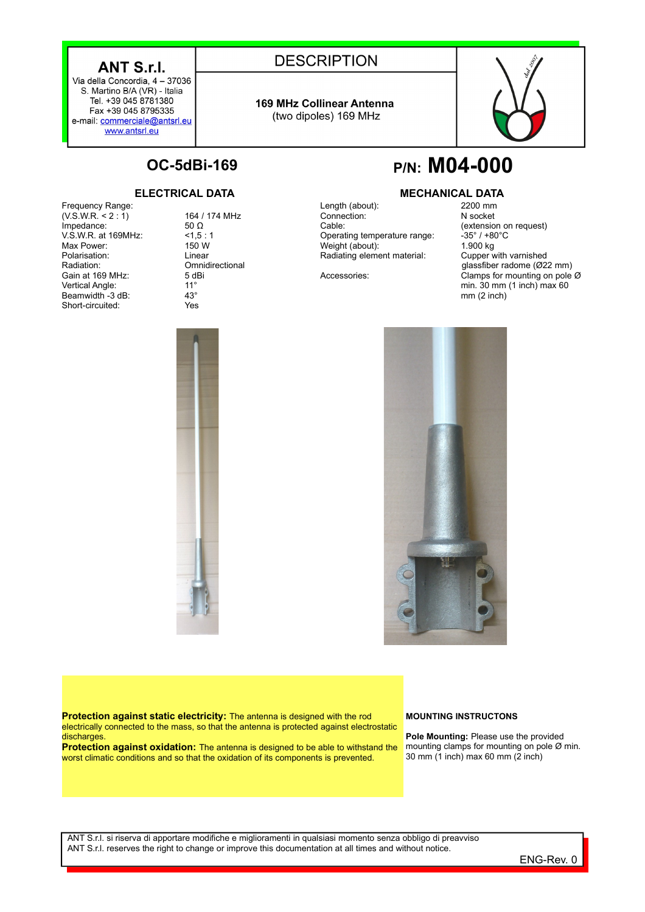## ANT S.r.I.

Via della Concordia, 4 - 37036 S. Martino B/A (VR) - Italia Tel. +39 045 8781380 Fax +39 045 8795335 e-mail: commerciale@antsrl.eu www.antsrl.eu

## **DESCRIPTION**

**169 MHz Collinear Antenna** (two dipoles) 169 MHz



Frequency Range:  $(V.S.W.R. < 2:1)$ Impedance: V.S.W.R. at 169MHz: Max Power: Polarisation: Radiation: Gain at 169 MHz: Vertical Angle: Beamwidth -3 dB: Short-circuited:

164 / 174 MHz 50 Ω  $< 1.5 : 1$ 150 W Linear **Omnidirectional** 5 dBi 11° 43° Yes

# **OC-5dBi-169 P/N: M04-000**

## **ELECTRICAL DATA MECHANICAL DATA**

Length (about): Connection: Cable: Operating temperature range: Weight (about): Radiating element material:

Accessories:

2200 mm N socket (extension on request)  $-35^\circ$  / +80 $^{\circ}$ C 1.900 kg Cupper with varnished glassfiber radome (Ø22 mm) Clamps for mounting on pole Ø min. 30 mm (1 inch) max 60 mm (2 inch)



**Protection against static electricity:** The antenna is designed with the rod electrically connected to the mass, so that the antenna is protected against electrostatic discharges.

**Protection against oxidation:** The antenna is designed to be able to withstand the worst climatic conditions and so that the oxidation of its components is prevented.

### **MOUNTING INSTRUCTONS**

**Pole Mounting:** Please use the provided mounting clamps for mounting on pole Ø min. 30 mm (1 inch) max 60 mm (2 inch)

ANT S.r.l. si riserva di apportare modifiche e miglioramenti in qualsiasi momento senza obbligo di preavviso ANT S.r.l. reserves the right to change or improve this documentation at all times and without notice.